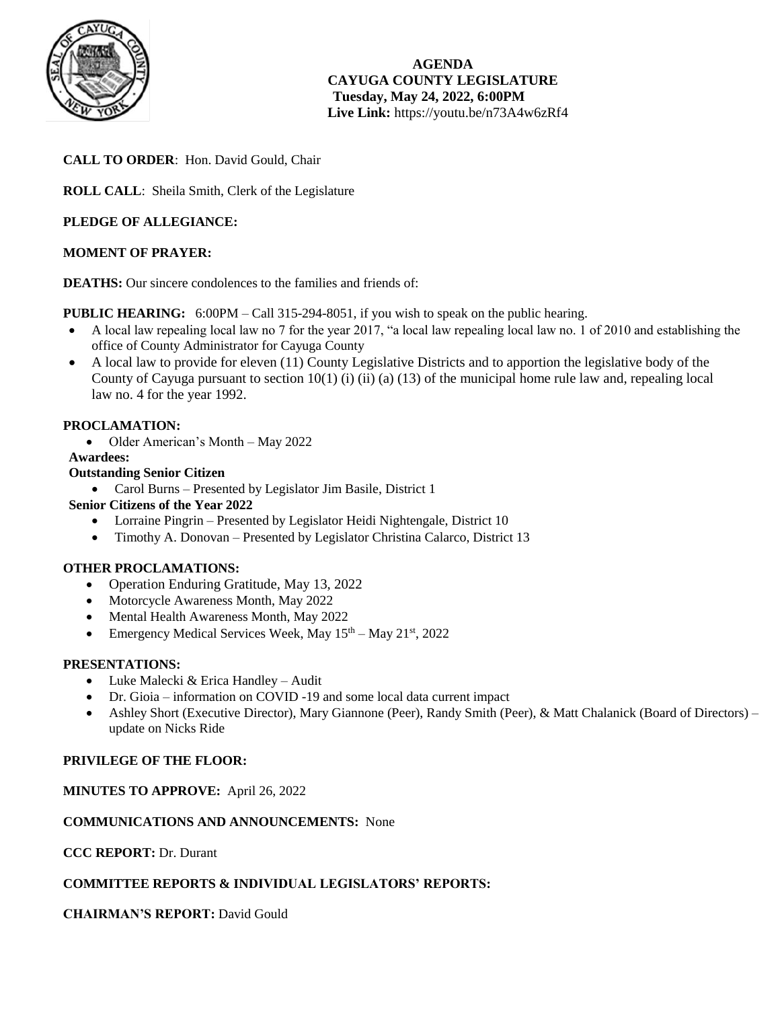

**AGENDA CAYUGA COUNTY LEGISLATURE Tuesday, May 24, 2022, 6:00PM Live Link:** <https://youtu.be/n73A4w6zRf4>

## **CALL TO ORDER**: Hon. David Gould, Chair

**ROLL CALL**: Sheila Smith, Clerk of the Legislature

## **PLEDGE OF ALLEGIANCE:**

## **MOMENT OF PRAYER:**

**DEATHS:** Our sincere condolences to the families and friends of:

**PUBLIC HEARING:** 6:00PM – Call 315-294-8051, if you wish to speak on the public hearing.

- A local law repealing local law no 7 for the year 2017, "a local law repealing local law no. 1 of 2010 and establishing the office of County Administrator for Cayuga County
- A local law to provide for eleven (11) County Legislative Districts and to apportion the legislative body of the County of Cayuga pursuant to section 10(1) (i) (ii) (a) (13) of the municipal home rule law and, repealing local law no. 4 for the year 1992.

## **PROCLAMATION:**

• Older American's Month – May 2022

## **Awardees:**

## **Outstanding Senior Citizen**

- Carol Burns Presented by Legislator Jim Basile, District 1
- **Senior Citizens of the Year 2022**
	- Lorraine Pingrin Presented by Legislator Heidi Nightengale, District 10
	- Timothy A. Donovan Presented by Legislator Christina Calarco, District 13

## **OTHER PROCLAMATIONS:**

- Operation Enduring Gratitude, May 13, 2022
- Motorcycle Awareness Month, May 2022
- Mental Health Awareness Month, May 2022
- Emergency Medical Services Week, May  $15<sup>th</sup> -$  May  $21<sup>st</sup>$ , 2022

## **PRESENTATIONS:**

- Luke Malecki & Erica Handley Audit
- Dr. Gioia information on COVID -19 and some local data current impact
- Ashley Short (Executive Director), Mary Giannone (Peer), Randy Smith (Peer), & Matt Chalanick (Board of Directors) update on Nicks Ride

## **PRIVILEGE OF THE FLOOR:**

## **MINUTES TO APPROVE:** April 26, 2022

## **COMMUNICATIONS AND ANNOUNCEMENTS:** None

## **CCC REPORT:** Dr. Durant

## **COMMITTEE REPORTS & INDIVIDUAL LEGISLATORS' REPORTS:**

## **CHAIRMAN'S REPORT:** David Gould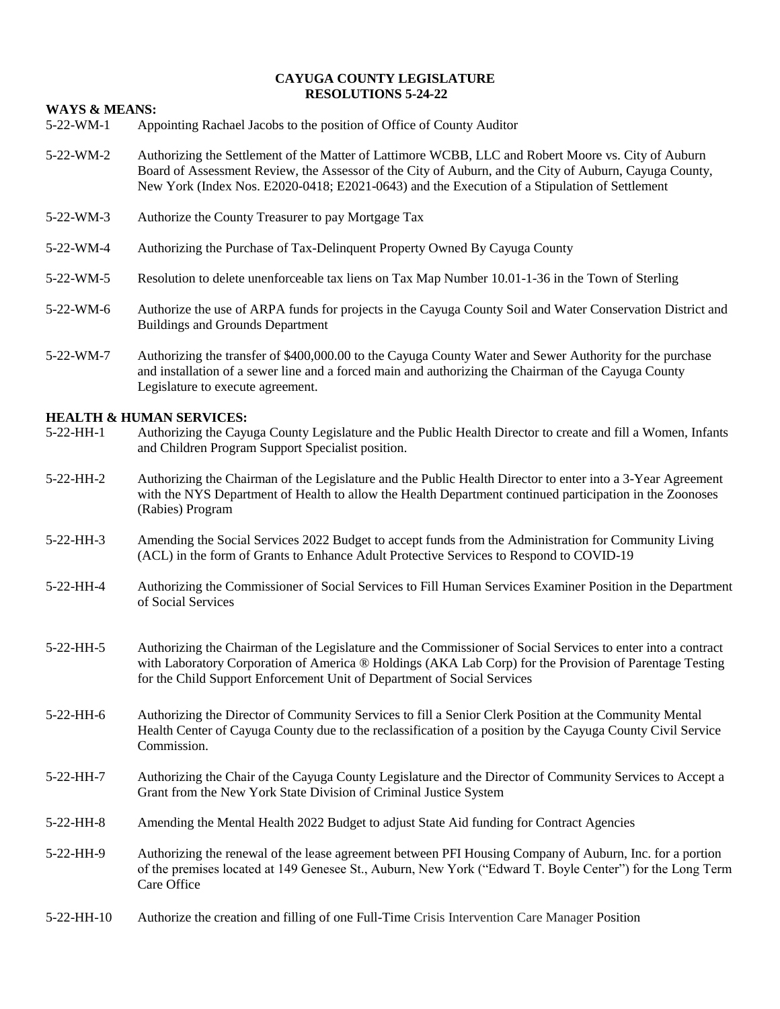#### **CAYUGA COUNTY LEGISLATURE RESOLUTIONS 5-24-22**

#### **WAYS & MEANS:**

- 5-22-WM-1 Appointing Rachael Jacobs to the position of Office of County Auditor
- 5-22-WM-2 Authorizing the Settlement of the Matter of Lattimore WCBB, LLC and Robert Moore vs. City of Auburn Board of Assessment Review, the Assessor of the City of Auburn, and the City of Auburn, Cayuga County, New York (Index Nos. E2020-0418; E2021-0643) and the Execution of a Stipulation of Settlement
- 5-22-WM-3 Authorize the County Treasurer to pay Mortgage Tax
- 5-22-WM-4 Authorizing the Purchase of Tax-Delinquent Property Owned By Cayuga County
- 5-22-WM-5 Resolution to delete unenforceable tax liens on Tax Map Number 10.01-1-36 in the Town of Sterling
- 5-22-WM-6 Authorize the use of ARPA funds for projects in the Cayuga County Soil and Water Conservation District and Buildings and Grounds Department
- 5-22-WM-7 Authorizing the transfer of \$400,000.00 to the Cayuga County Water and Sewer Authority for the purchase and installation of a sewer line and a forced main and authorizing the Chairman of the Cayuga County Legislature to execute agreement.

#### **HEALTH & HUMAN SERVICES:**

- 5-22-HH-1 Authorizing the Cayuga County Legislature and the Public Health Director to create and fill a Women, Infants and Children Program Support Specialist position.
- 5-22-HH-2 Authorizing the Chairman of the Legislature and the Public Health Director to enter into a 3-Year Agreement with the NYS Department of Health to allow the Health Department continued participation in the Zoonoses (Rabies) Program
- 5-22-HH-3 Amending the Social Services 2022 Budget to accept funds from the Administration for Community Living (ACL) in the form of Grants to Enhance Adult Protective Services to Respond to COVID-19
- 5-22-HH-4 Authorizing the Commissioner of Social Services to Fill Human Services Examiner Position in the Department of Social Services
- 5-22-HH-5 Authorizing the Chairman of the Legislature and the Commissioner of Social Services to enter into a contract with Laboratory Corporation of America ® Holdings (AKA Lab Corp) for the Provision of Parentage Testing for the Child Support Enforcement Unit of Department of Social Services
- 5-22-HH-6 Authorizing the Director of Community Services to fill a Senior Clerk Position at the Community Mental Health Center of Cayuga County due to the reclassification of a position by the Cayuga County Civil Service Commission.
- 5-22-HH-7 Authorizing the Chair of the Cayuga County Legislature and the Director of Community Services to Accept a Grant from the New York State Division of Criminal Justice System
- 5-22-HH-8 Amending the Mental Health 2022 Budget to adjust State Aid funding for Contract Agencies
- 5-22-HH-9 Authorizing the renewal of the lease agreement between PFI Housing Company of Auburn, Inc. for a portion of the premises located at 149 Genesee St., Auburn, New York ("Edward T. Boyle Center") for the Long Term Care Office
- 5-22-HH-10 Authorize the creation and filling of one Full-Time Crisis Intervention Care Manager Position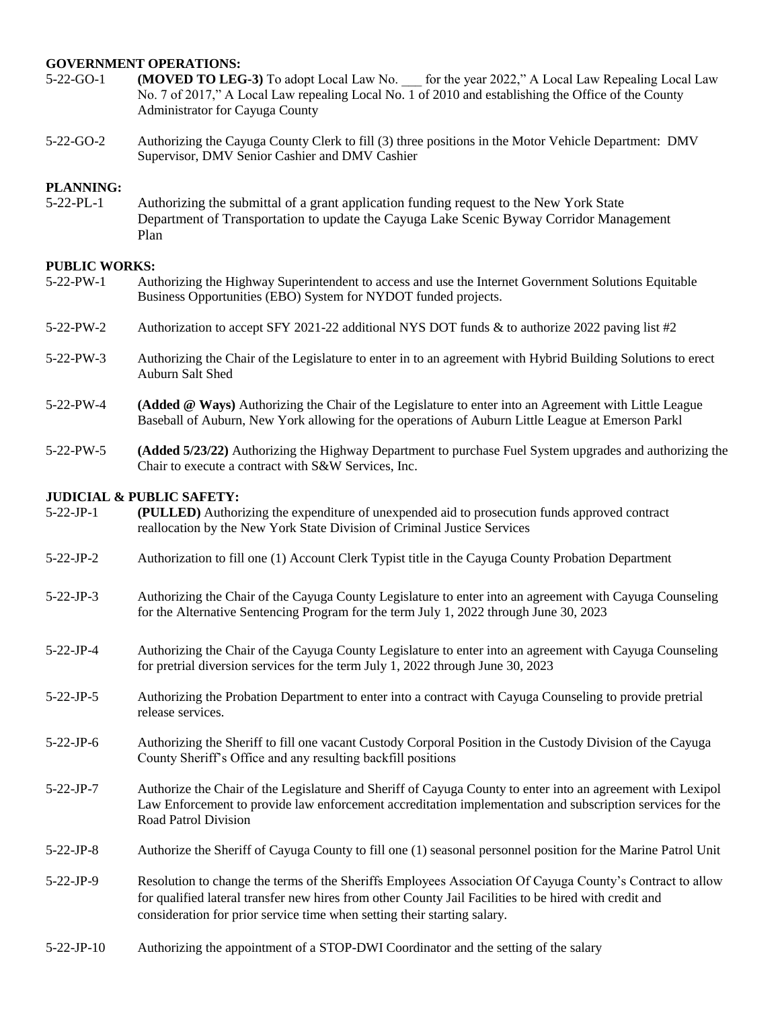## **GOVERNMENT OPERATIONS:**

- 5-22-GO-1 **(MOVED TO LEG-3)** To adopt Local Law No. \_\_\_ for the year 2022," A Local Law Repealing Local Law No. 7 of 2017," A Local Law repealing Local No. 1 of 2010 and establishing the Office of the County Administrator for Cayuga County
- 5-22-GO-2 Authorizing the Cayuga County Clerk to fill (3) three positions in the Motor Vehicle Department: DMV Supervisor, DMV Senior Cashier and DMV Cashier

#### **PLANNING:**

5-22-PL-1 Authorizing the submittal of a grant application funding request to the New York State Department of Transportation to update the Cayuga Lake Scenic Byway Corridor Management Plan

# **PUBLIC WORKS:**<br>5-22-PW-1 Aut

- 5-22-PW-1 Authorizing the Highway Superintendent to access and use the Internet Government Solutions Equitable Business Opportunities (EBO) System for NYDOT funded projects.
- 5-22-PW-2 Authorization to accept SFY 2021-22 additional NYS DOT funds & to authorize 2022 paving list #2
- 5-22-PW-3 Authorizing the Chair of the Legislature to enter in to an agreement with Hybrid Building Solutions to erect Auburn Salt Shed
- 5-22-PW-4 **(Added @ Ways)** Authorizing the Chair of the Legislature to enter into an Agreement with Little League Baseball of Auburn, New York allowing for the operations of Auburn Little League at Emerson Parkl
- 5-22-PW-5 **(Added 5/23/22)** Authorizing the Highway Department to purchase Fuel System upgrades and authorizing the Chair to execute a contract with S&W Services, Inc.

## **JUDICIAL & PUBLIC SAFETY:**

- 5-22-JP-1 **(PULLED)** Authorizing the expenditure of unexpended aid to prosecution funds approved contract reallocation by the New York State Division of Criminal Justice Services
- 5-22-JP-2 Authorization to fill one (1) Account Clerk Typist title in the Cayuga County Probation Department
- 5-22-JP-3 Authorizing the Chair of the Cayuga County Legislature to enter into an agreement with Cayuga Counseling for the Alternative Sentencing Program for the term July 1, 2022 through June 30, 2023
- 5-22-JP-4 Authorizing the Chair of the Cayuga County Legislature to enter into an agreement with Cayuga Counseling for pretrial diversion services for the term July 1, 2022 through June 30, 2023
- 5-22-JP-5 Authorizing the Probation Department to enter into a contract with Cayuga Counseling to provide pretrial release services.
- 5-22-JP-6 Authorizing the Sheriff to fill one vacant Custody Corporal Position in the Custody Division of the Cayuga County Sheriff's Office and any resulting backfill positions
- 5-22-JP-7 Authorize the Chair of the Legislature and Sheriff of Cayuga County to enter into an agreement with Lexipol Law Enforcement to provide law enforcement accreditation implementation and subscription services for the Road Patrol Division
- 5-22-JP-8 Authorize the Sheriff of Cayuga County to fill one (1) seasonal personnel position for the Marine Patrol Unit
- 5-22-JP-9 Resolution to change the terms of the Sheriffs Employees Association Of Cayuga County's Contract to allow for qualified lateral transfer new hires from other County Jail Facilities to be hired with credit and consideration for prior service time when setting their starting salary.
- 5-22-JP-10 Authorizing the appointment of a STOP-DWI Coordinator and the setting of the salary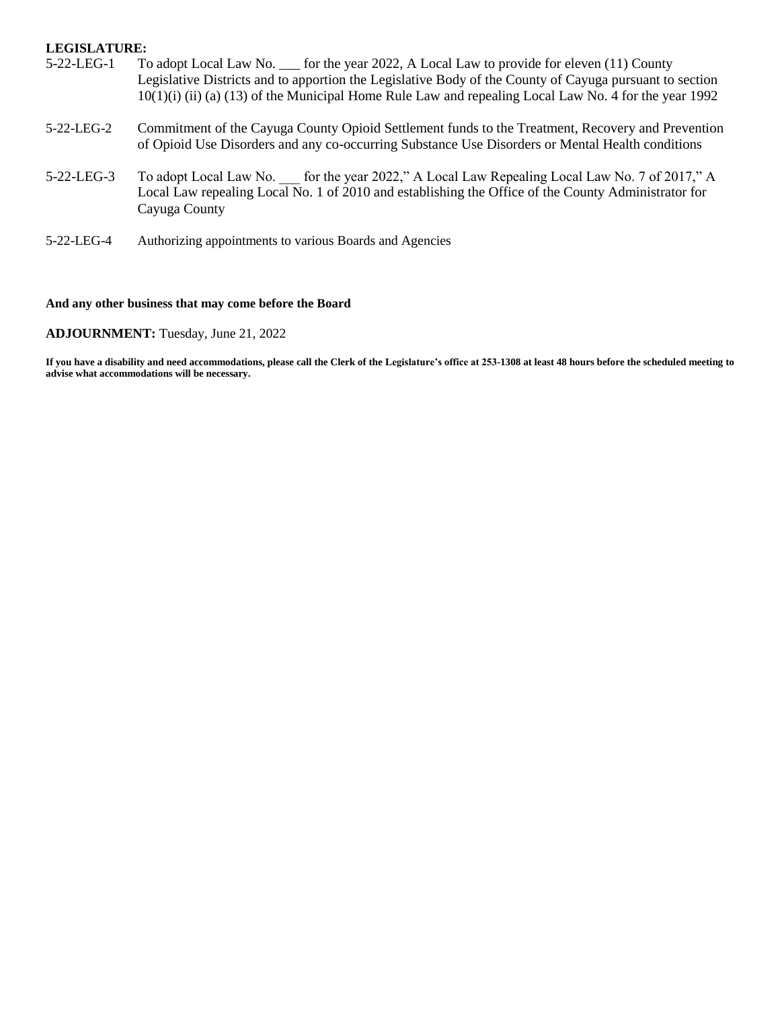#### **LEGISLATURE:**

- 5-22-LEG-1 To adopt Local Law No. \_\_\_ for the year 2022, A Local Law to provide for eleven (11) County Legislative Districts and to apportion the Legislative Body of the County of Cayuga pursuant to section 10(1)(i) (ii) (a) (13) of the Municipal Home Rule Law and repealing Local Law No. 4 for the year 1992
- 5-22-LEG-2 Commitment of the Cayuga County Opioid Settlement funds to the Treatment, Recovery and Prevention of Opioid Use Disorders and any co-occurring Substance Use Disorders or Mental Health conditions
- 5-22-LEG-3 To adopt Local Law No. for the year 2022," A Local Law Repealing Local Law No. 7 of 2017," A Local Law repealing Local No. 1 of 2010 and establishing the Office of the County Administrator for Cayuga County
- 5-22-LEG-4 Authorizing appointments to various Boards and Agencies

#### **And any other business that may come before the Board**

#### **ADJOURNMENT:** Tuesday, June 21, 2022

**If you have a disability and need accommodations, please call the Clerk of the Legislature's office at 253-1308 at least 48 hours before the scheduled meeting to advise what accommodations will be necessary.**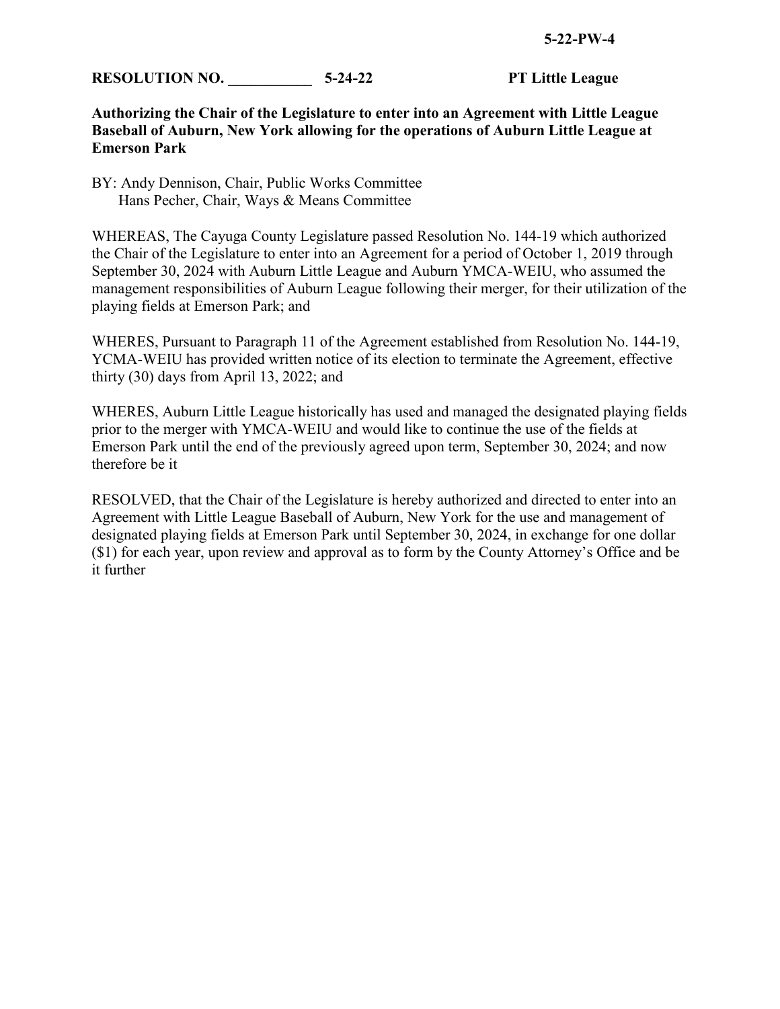**RESOLUTION NO.** 5-24-22 **PT Little League** 

## **Authorizing the Chair of the Legislature to enter into an Agreement with Little League Baseball of Auburn, New York allowing for the operations of Auburn Little League at Emerson Park**

BY: Andy Dennison, Chair, Public Works Committee Hans Pecher, Chair, Ways & Means Committee

WHEREAS, The Cayuga County Legislature passed Resolution No. 144-19 which authorized the Chair of the Legislature to enter into an Agreement for a period of October 1, 2019 through September 30, 2024 with Auburn Little League and Auburn YMCA-WEIU, who assumed the management responsibilities of Auburn League following their merger, for their utilization of the playing fields at Emerson Park; and

WHERES, Pursuant to Paragraph 11 of the Agreement established from Resolution No. 144-19, YCMA-WEIU has provided written notice of its election to terminate the Agreement, effective thirty (30) days from April 13, 2022; and

WHERES, Auburn Little League historically has used and managed the designated playing fields prior to the merger with YMCA-WEIU and would like to continue the use of the fields at Emerson Park until the end of the previously agreed upon term, September 30, 2024; and now therefore be it

RESOLVED, that the Chair of the Legislature is hereby authorized and directed to enter into an Agreement with Little League Baseball of Auburn, New York for the use and management of designated playing fields at Emerson Park until September 30, 2024, in exchange for one dollar (\$1) for each year, upon review and approval as to form by the County Attorney's Office and be it further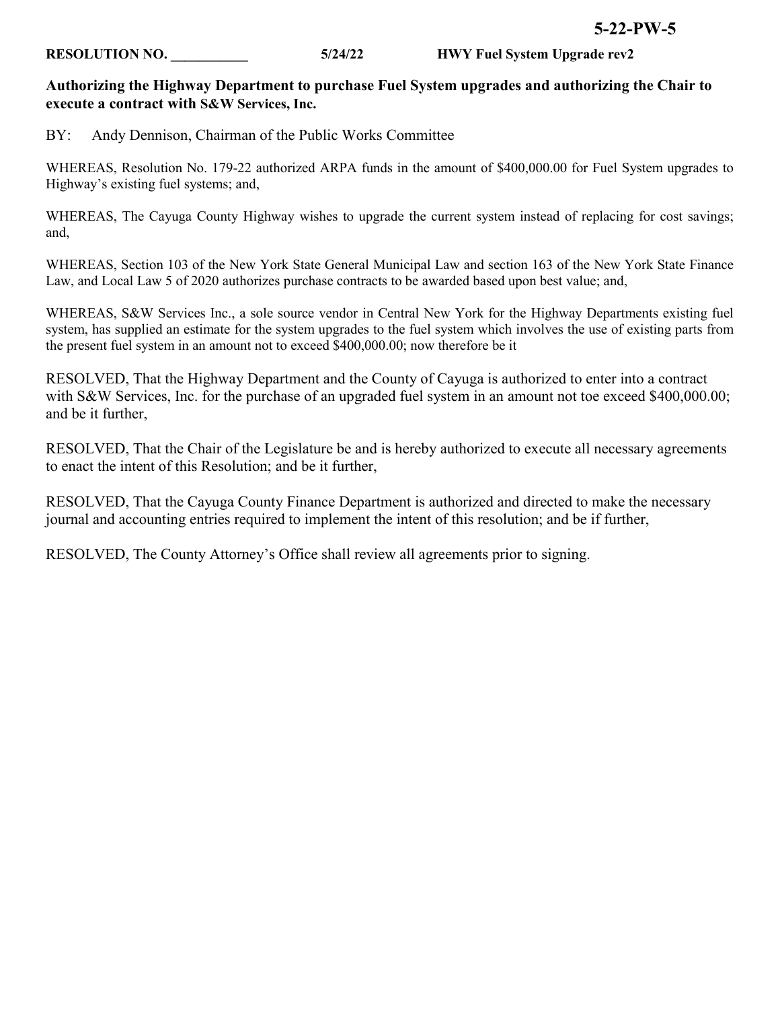## **RESOLUTION NO. \_\_\_\_\_\_\_\_\_\_\_ 5/24/22 HWY Fuel System Upgrade rev2**

## **Authorizing the Highway Department to purchase Fuel System upgrades and authorizing the Chair to execute a contract with S&W Services, Inc.**

BY: Andy Dennison, Chairman of the Public Works Committee

WHEREAS, Resolution No. 179-22 authorized ARPA funds in the amount of \$400,000.00 for Fuel System upgrades to Highway's existing fuel systems; and,

WHEREAS, The Cayuga County Highway wishes to upgrade the current system instead of replacing for cost savings; and,

WHEREAS, Section 103 of the New York State General Municipal Law and section 163 of the New York State Finance Law, and Local Law 5 of 2020 authorizes purchase contracts to be awarded based upon best value; and,

WHEREAS, S&W Services Inc., a sole source vendor in Central New York for the Highway Departments existing fuel system, has supplied an estimate for the system upgrades to the fuel system which involves the use of existing parts from the present fuel system in an amount not to exceed \$400,000.00; now therefore be it

RESOLVED, That the Highway Department and the County of Cayuga is authorized to enter into a contract with S&W Services, Inc. for the purchase of an upgraded fuel system in an amount not toe exceed \$400,000.00; and be it further,

RESOLVED, That the Chair of the Legislature be and is hereby authorized to execute all necessary agreements to enact the intent of this Resolution; and be it further,

RESOLVED, That the Cayuga County Finance Department is authorized and directed to make the necessary journal and accounting entries required to implement the intent of this resolution; and be if further,

RESOLVED, The County Attorney's Office shall review all agreements prior to signing.